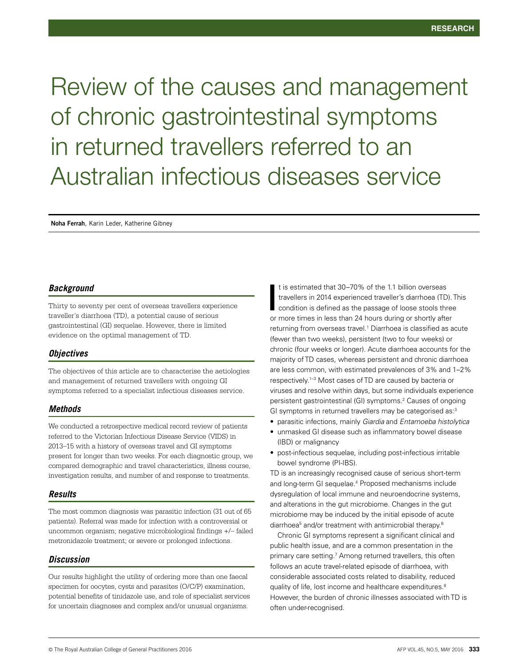# Review of the causes and management of chronic gastrointestinal symptoms in returned travellers referred to an Australian infectious diseases service

**Noha Ferrah**, Karin Leder, Katherine Gibney

## *Background*

Thirty to seventy per cent of overseas travellers experience traveller's diarrhoea (TD), a potential cause of serious gastrointestinal (GI) sequelae. However, there is limited evidence on the optimal management of TD.

## *Objectives*

The objectives of this article are to characterise the aetiologies and management of returned travellers with ongoing GI symptoms referred to a specialist infectious diseases service.

## *Methods*

We conducted a retrospective medical record review of patients referred to the Victorian Infectious Disease Service (VIDS) in 2013–15 with a history of overseas travel and GI symptoms present for longer than two weeks. For each diagnostic group, we compared demographic and travel characteristics, illness course, investigation results, and number of and response to treatments.

# *Results*

The most common diagnosis was parasitic infection (31 out of 65 patients). Referral was made for infection with a controversial or uncommon organism; negative microbiological findings +/– failed metronidazole treatment; or severe or prolonged infections.

## *Discussion*

Our results highlight the utility of ordering more than one faecal specimen for oocytes, cysts and parasites (O/C/P) examination, potential benefits of tinidazole use, and role of specialist services for uncertain diagnoses and complex and/or unusual organisms.

t is estimated that 30–70% of the 1.1 billion overseas travellers in 2014 experienced traveller's diarrhoea (TD). This condition is defined as the passage of loose stools three or more times in less than 24 hours during or shortly after returning from overseas travel.<sup>1</sup> Diarrhoea is classified as acute (fewer than two weeks), persistent (two to four weeks) or chronic (four weeks or longer). Acute diarrhoea accounts for the majority of TD cases, whereas persistent and chronic diarrhoea are less common, with estimated prevalences of 3% and 1–2% respectively.1–3 Most cases of TD are caused by bacteria or viruses and resolve within days, but some individuals experience persistent gastrointestinal (GI) symptoms.2 Causes of ongoing GI symptoms in returned travellers may be categorised as:<sup>3</sup> I

- parasitic infections, mainly *Giardia* and *Entamoeba histolytica*
- unmasked GI disease such as inflammatory bowel disease (IBD) or malignancy
- post-infectious sequelae, including post-infectious irritable bowel syndrome (PI-IBS).

TD is an increasingly recognised cause of serious short-term and long-term GI sequelae.<sup>4</sup> Proposed mechanisms include dysregulation of local immune and neuroendocrine systems, and alterations in the gut microbiome. Changes in the gut microbiome may be induced by the initial episode of acute diarrhoea<sup>5</sup> and/or treatment with antimicrobial therapy.<sup>6</sup>

Chronic GI symptoms represent a significant clinical and public health issue, and are a common presentation in the primary care setting.<sup>7</sup> Among returned travellers, this often follows an acute travel-related episode of diarrhoea, with considerable associated costs related to disability, reduced quality of life, lost income and healthcare expenditures.<sup>8</sup> However, the burden of chronic illnesses associated with TD is often under-recognised.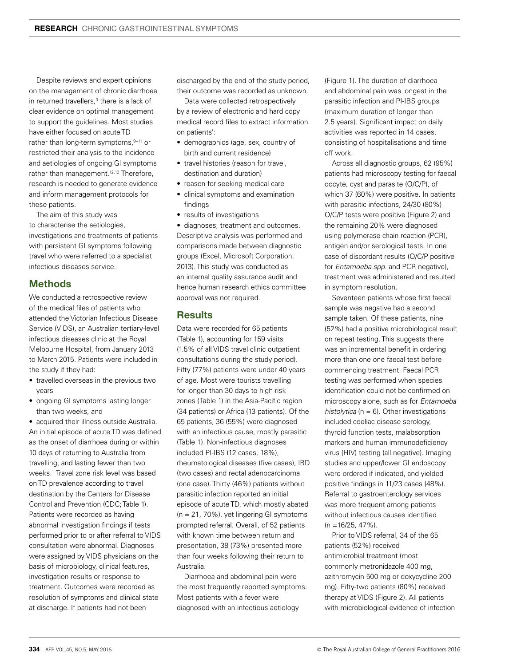Despite reviews and expert opinions on the management of chronic diarrhoea in returned travellers,<sup>3</sup> there is a lack of clear evidence on optimal management to support the guidelines. Most studies have either focused on acute TD rather than long-term symptoms.<sup>9-11</sup> or restricted their analysis to the incidence and aetiologies of ongoing GI symptoms rather than management.<sup>12,13</sup> Therefore. research is needed to generate evidence and inform management protocols for these patients.

The aim of this study was to characterise the aetiologies, investigations and treatments of patients with persistent GI symptoms following travel who were referred to a specialist infectious diseases service.

# Methods

We conducted a retrospective review of the medical files of patients who attended the Victorian Infectious Disease Service (VIDS), an Australian tertiary-level infectious diseases clinic at the Royal Melbourne Hospital, from January 2013 to March 2015. Patients were included in the study if they had:

- travelled overseas in the previous two years
- ongoing GI symptoms lasting longer than two weeks, and

• acquired their illness outside Australia. An initial episode of acute TD was defined as the onset of diarrhoea during or within 10 days of returning to Australia from travelling, and lasting fewer than two weeks.1 Travel zone risk level was based on TD prevalence according to travel destination by the Centers for Disease Control and Prevention (CDC; Table 1). Patients were recorded as having abnormal investigation findings if tests performed prior to or after referral to VIDS consultation were abnormal. Diagnoses were assigned by VIDS physicians on the basis of microbiology, clinical features, investigation results or response to treatment. Outcomes were recorded as resolution of symptoms and clinical state at discharge. If patients had not been

discharged by the end of the study period, their outcome was recorded as unknown.

Data were collected retrospectively by a review of electronic and hard copy medical record files to extract information on patients':

- demographics (age, sex, country of birth and current residence)
- travel histories (reason for travel, destination and duration)
- reason for seeking medical care
- clinical symptoms and examination findings
- results of investigations

• diagnoses, treatment and outcomes. Descriptive analysis was performed and comparisons made between diagnostic groups (Excel, Microsoft Corporation, 2013). This study was conducted as an internal quality assurance audit and hence human research ethics committee approval was not required.

# **Results**

Data were recorded for 65 patients (Table 1), accounting for 159 visits (1.5% of all VIDS travel clinic outpatient consultations during the study period). Fifty (77%) patients were under 40 years of age. Most were tourists travelling for longer than 30 days to high-risk zones (Table 1) in the Asia-Pacific region (34 patients) or Africa (13 patients). Of the 65 patients, 36 (55%) were diagnosed with an infectious cause, mostly parasitic (Table 1). Non-infectious diagnoses included PI-IBS (12 cases, 18%), rheumatological diseases (five cases), IBD (two cases) and rectal adenocarcinoma (one case). Thirty (46%) patients without parasitic infection reported an initial episode of acute TD, which mostly abated (n = 21, 70%), yet lingering GI symptoms prompted referral. Overall, of 52 patients with known time between return and presentation, 38 (73%) presented more than four weeks following their return to Australia.

Diarrhoea and abdominal pain were the most frequently reported symptoms. Most patients with a fever were diagnosed with an infectious aetiology

(Figure 1). The duration of diarrhoea and abdominal pain was longest in the parasitic infection and PI-IBS groups (maximum duration of longer than 2.5 years). Significant impact on daily activities was reported in 14 cases, consisting of hospitalisations and time off work.

Across all diagnostic groups, 62 (95%) patients had microscopy testing for faecal oocyte, cyst and parasite (O/C/P), of which 37 (60%) were positive. In patients with parasitic infections, 24/30 (80%) O/C/P tests were positive (Figure 2) and the remaining 20% were diagnosed using polymerase chain reaction (PCR), antigen and/or serological tests. In one case of discordant results (O/C/P positive for *Entamoeba spp*. and PCR negative), treatment was administered and resulted in symptom resolution.

Seventeen patients whose first faecal sample was negative had a second sample taken. Of these patients, nine (52%) had a positive microbiological result on repeat testing. This suggests there was an incremental benefit in ordering more than one one faecal test before commencing treatment. Faecal PCR testing was performed when species identification could not be confirmed on microscopy alone, such as for *Entamoeba histolytica* (n = 6). Other investigations included coeliac disease serology, thyroid function tests, malabsorption markers and human immunodeficiency virus (HIV) testing (all negative). Imaging studies and upper/lower GI endoscopy were ordered if indicated, and yielded positive findings in 11/23 cases (48%). Referral to gastroenterology services was more frequent among patients without infectious causes identified  $(n = 16/25, 47\%)$ .

Prior to VIDS referral, 34 of the 65 patients (52%) received antimicrobial treatment (most commonly metronidazole 400 mg, azithromycin 500 mg or doxycycline 200 mg). Fifty-two patients (80%) received therapy at VIDS (Figure 2). All patients with microbiological evidence of infection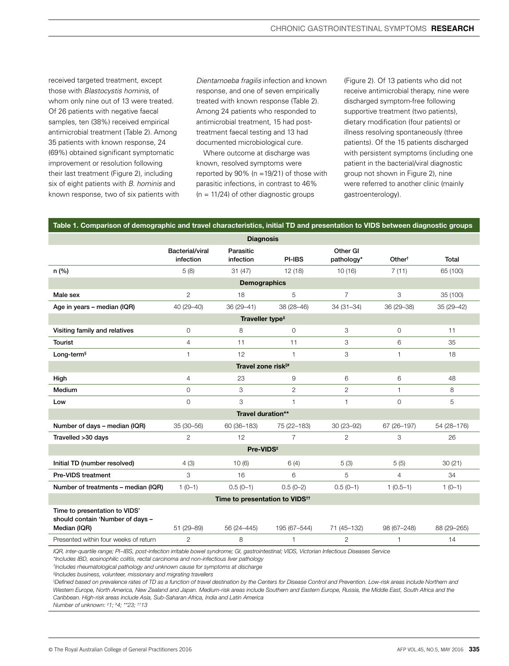received targeted treatment, except those with *Blastocystis hominis*, of whom only nine out of 13 were treated. Of 26 patients with negative faecal samples, ten (38%) received empirical antimicrobial treatment (Table 2). Among 35 patients with known response, 24 (69%) obtained significant symptomatic improvement or resolution following their last treatment (Figure 2), including six of eight patients with *B. hominis* and known response, two of six patients with *Dientamoeba fragilis* infection and known response, and one of seven empirically treated with known response (Table 2). Among 24 patients who responded to antimicrobial treatment, 15 had posttreatment faecal testing and 13 had documented microbiological cure.

Where outcome at discharge was known, resolved symptoms were reported by  $90\%$  (n = 19/21) of those with parasitic infections, in contrast to 46%  $(n = 11/24)$  of other diagnostic groups

(Figure 2). Of 13 patients who did not receive antimicrobial therapy, nine were discharged symptom-free following supportive treatment (two patients), dietary modification (four patients) or illness resolving spontaneously (three patients). Of the 15 patients discharged with persistent symptoms (including one patient in the bacterial/viral diagnostic group not shown in Figure 2), nine were referred to another clinic (mainly gastroenterology).

#### Table 1. Comparison of demographic and travel characteristics, initial TD and presentation to VIDS between diagnostic groups

| <b>Diagnosis</b>                                                                  |                              |                        |                |                        |                    |             |  |  |  |  |  |  |
|-----------------------------------------------------------------------------------|------------------------------|------------------------|----------------|------------------------|--------------------|-------------|--|--|--|--|--|--|
|                                                                                   | Bacterial/viral<br>infection | Parasitic<br>infection | PI-IBS         | Other GI<br>pathology* | Other <sup>t</sup> | Total       |  |  |  |  |  |  |
| n(%)                                                                              | 5(8)                         | 31(47)                 | 12(18)         | 10(16)                 | 7(11)              | 65 (100)    |  |  |  |  |  |  |
| <b>Demographics</b>                                                               |                              |                        |                |                        |                    |             |  |  |  |  |  |  |
| Male sex                                                                          | $\overline{2}$               | 18                     | 5              | $\overline{7}$         | 3                  | 35 (100)    |  |  |  |  |  |  |
| Age in years - median (IQR)                                                       | 40 (29-40)                   | $36(29 - 41)$          | 38 (28-46)     | $34(31 - 34)$          | 36 (29-38)         | 35 (29-42)  |  |  |  |  |  |  |
| Traveller type <sup>#</sup>                                                       |                              |                        |                |                        |                    |             |  |  |  |  |  |  |
| Visiting family and relatives                                                     | $\circ$                      | 8                      | $\mathbf{O}$   | 3                      | $\mathbf{0}$       | 11          |  |  |  |  |  |  |
| Tourist                                                                           | $\overline{4}$               | 11                     | 11             | 3                      | 6                  | 35          |  |  |  |  |  |  |
| Long-term <sup>§</sup>                                                            | $\mathbf{1}$                 | 12                     | 1              | 3                      | 1                  | 18          |  |  |  |  |  |  |
| Travel zone risk <sup>#</sup>                                                     |                              |                        |                |                        |                    |             |  |  |  |  |  |  |
| High                                                                              | 4                            | 23                     | 9              | 6                      | 6                  | 48          |  |  |  |  |  |  |
| Medium                                                                            | $\circ$                      | 3                      | $\overline{2}$ | $\overline{2}$         | $\mathbf{1}$       | 8           |  |  |  |  |  |  |
| Low                                                                               | $\mathbf 0$                  | 3                      | 1              | $\mathbf{1}$           | $\Omega$           | 5           |  |  |  |  |  |  |
|                                                                                   |                              | Travel duration**      |                |                        |                    |             |  |  |  |  |  |  |
| Number of days - median (IQR)                                                     | 35 (30-56)                   | 60 (36-183)            | 75 (22-183)    | 30 (23-92)             | 67 (26-197)        | 54 (28-176) |  |  |  |  |  |  |
| Travelled > 30 days                                                               | 2                            | 12                     | $\overline{7}$ | $\overline{2}$         | 3                  | 26          |  |  |  |  |  |  |
| Pre-VIDS <sup>#</sup>                                                             |                              |                        |                |                        |                    |             |  |  |  |  |  |  |
| Initial TD (number resolved)                                                      | 4(3)                         | 10(6)                  | 6(4)           | 5(3)                   | 5(5)               | 30(21)      |  |  |  |  |  |  |
| Pre-VIDS treatment                                                                | 3                            | 16                     | 6              | 5                      | $\overline{4}$     | 34          |  |  |  |  |  |  |
| Number of treatments - median (IQR)                                               | $1(0-1)$                     | $0.5(0-1)$             | $0.5(0-2)$     | $0.5(0-1)$             | $1(0.5-1)$         | $1(0-1)$    |  |  |  |  |  |  |
| Time to presentation to VIDS <sup>tt</sup>                                        |                              |                        |                |                        |                    |             |  |  |  |  |  |  |
| Time to presentation to VIDS'<br>should contain 'Number of days -<br>Median (IQR) | 51 (29-89)                   | 56 (24-445)            | 195 (67-544)   | 71 (45-132)            | 98 (67-248)        | 88 (29-265) |  |  |  |  |  |  |
| Presented within four weeks of return                                             | $\overline{2}$               | 8                      | 1              | $\overline{2}$         | 1                  | 14          |  |  |  |  |  |  |
|                                                                                   |                              |                        |                |                        |                    |             |  |  |  |  |  |  |

*IQR, inter-quartile range; PI−IBS, post-infection irritable bowel syndrome; GI, gastrointestinal; VIDS, Victorian Infectious Diseases Service*

*\*Includes IBD, eosinophilic colitis, rectal carcinoma and non-infectious liver pathology*

*† Includes rheumatological pathology and unknown cause for symptoms at discharge*

*§ Includes business, volunteer, missionary and migrating travellers*

<sup>II</sup>Defined based on prevalence rates of TD as a function of travel destination by the Centers for Disease Control and Prevention. Low-risk areas include Northern and *Western Europe, North America, New Zealand and Japan. Medium-risk areas include Southern and Eastern Europe, Russia, the Middle East, South Africa and the Caribbean. High-risk areas include Asia, Sub-Saharan Africa, India and Latin America*

*Number of unknown: ‡ 1; # 4; \*\*23; ††13*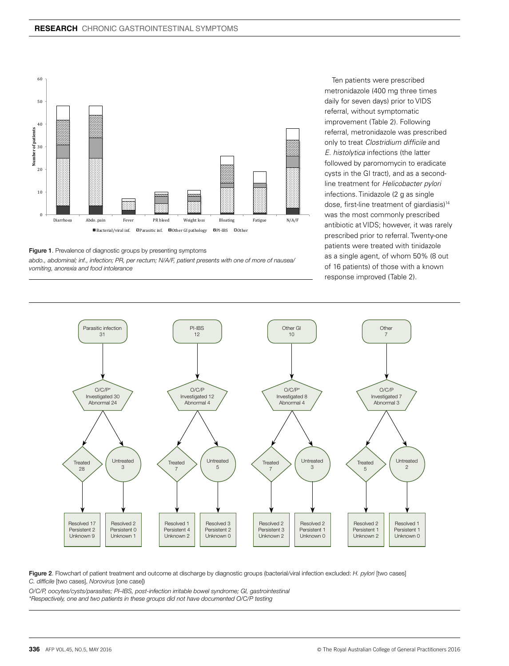

Figure 1. Prevalence of diagnostic groups by presenting symptoms

*abdo., abdominal; inf., infection; PR, per rectum; N/A/F, patient presents with one of more of nausea/ vomiting, anorexia and food intolerance*

Ten patients were prescribed metronidazole (400 mg three times daily for seven days) prior to VIDS referral, without symptomatic improvement (Table 2). Following referral, metronidazole was prescribed only to treat *Clostridium difficile* and *E. histolytica* infections (the latter followed by paromomycin to eradicate cysts in the GI tract), and as a secondline treatment for *Helicobacter pylori* infections. Tinidazole (2 g as single dose, first-line treatment of giardiasis)14 was the most commonly prescribed antibiotic at VIDS; however, it was rarely prescribed prior to referral. Twenty-one patients were treated with tinidazole as a single agent, of whom 50% (8 out of 16 patients) of those with a known response improved (Table 2).



Figure 2. Flowchart of patient treatment and outcome at discharge by diagnostic groups (bacterial/viral infection excluded: *H. pylori* [two cases] *C. difficile* [two cases], *Norovirus* [one case])

*O/C/P, oocytes/cysts/parasites; PI–IBS, post-infection irritable bowel syndrome; GI, gastrointestinal \*Respectively, one and two patients in these groups did not have documented O/C/P testing*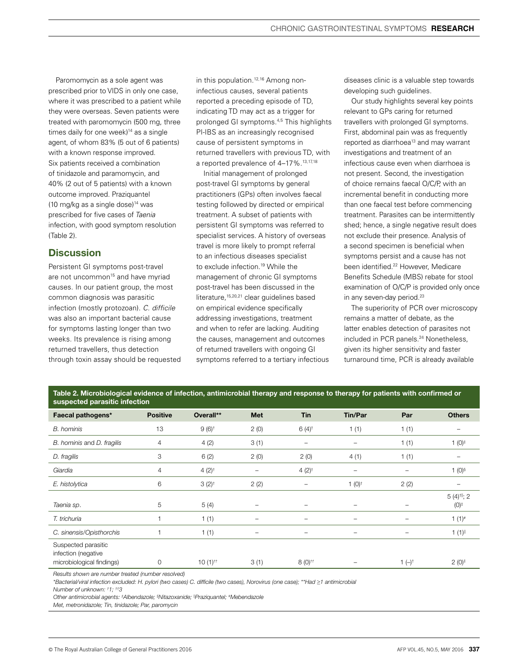Paromomycin as a sole agent was prescribed prior to VIDS in only one case, where it was prescribed to a patient while they were overseas. Seven patients were treated with paromomycin (500 mg, three times daily for one week)<sup>14</sup> as a single agent, of whom 83% (5 out of 6 patients) with a known response improved. Six patients received a combination of tinidazole and paramomycin, and 40% (2 out of 5 patients) with a known outcome improved. Praziquantel  $(10 \text{ mg/kg}$  as a single dose $)^{14}$  was prescribed for five cases of *Taenia*  infection, with good symptom resolution (Table 2).

# **Discussion**

Persistent GI symptoms post-travel are not uncommon<sup>15</sup> and have myriad causes. In our patient group, the most common diagnosis was parasitic infection (mostly protozoan). *C. difficile* was also an important bacterial cause for symptoms lasting longer than two weeks. Its prevalence is rising among returned travellers, thus detection through toxin assay should be requested in this population.<sup>12,16</sup> Among noninfectious causes, several patients reported a preceding episode of TD, indicating TD may act as a trigger for prolonged GI symptoms.4,5 This highlights PI-IBS as an increasingly recognised cause of persistent symptoms in returned travellers with previous TD, with a reported prevalence of 4-17%.<sup>13,17,18</sup>

Initial management of prolonged post-travel GI symptoms by general practitioners (GPs) often involves faecal testing followed by directed or empirical treatment. A subset of patients with persistent GI symptoms was referred to specialist services. A history of overseas travel is more likely to prompt referral to an infectious diseases specialist to exclude infection.<sup>19</sup> While the management of chronic GI symptoms post-travel has been discussed in the literature.<sup>15,20,21</sup> clear guidelines based on empirical evidence specifically addressing investigations, treatment and when to refer are lacking. Auditing the causes, management and outcomes of returned travellers with ongoing GI symptoms referred to a tertiary infectious diseases clinic is a valuable step towards developing such guidelines.

Our study highlights several key points relevant to GPs caring for returned travellers with prolonged GI symptoms. First, abdominal pain was as frequently reported as diarrhoea<sup>13</sup> and may warrant investigations and treatment of an infectious cause even when diarrhoea is not present. Second, the investigation of choice remains faecal O/C/P, with an incremental benefit in conducting more than one faecal test before commencing treatment. Parasites can be intermittently shed; hence, a single negative result does not exclude their presence. Analysis of a second specimen is beneficial when symptoms persist and a cause has not been identified.<sup>22</sup> However, Medicare Benefits Schedule (MBS) rebate for stool examination of O/C/P is provided only once in any seven-day period.<sup>23</sup>

The superiority of PCR over microscopy remains a matter of debate, as the latter enables detection of parasites not included in PCR panels.<sup>24</sup> Nonetheless, given its higher sensitivity and faster turnaround time, PCR is already available

| Table 2. Microbiological evidence of infection, antimicrobial therapy and response to therapy for patients with confirmed or |
|------------------------------------------------------------------------------------------------------------------------------|
| suspected parasitic infection                                                                                                |

| saspected parasitic impotion                                            |                 |                       |                          |                          |                                |            |                                               |  |  |  |
|-------------------------------------------------------------------------|-----------------|-----------------------|--------------------------|--------------------------|--------------------------------|------------|-----------------------------------------------|--|--|--|
| Faecal pathogens*                                                       | <b>Positive</b> | Overall**             | Met                      | <b>Tin</b>               | <b>Tin/Par</b>                 | Par        | <b>Others</b>                                 |  |  |  |
| <b>B.</b> hominis                                                       | 13              | $9(6)^+$              | 2(0)                     | $6(4)$ <sup>†</sup>      | 1(1)                           | 1(1)       |                                               |  |  |  |
| B. hominis and D. fragilis                                              | 4               | 4(2)                  | 3(1)                     | $\overline{\phantom{m}}$ | $\qquad \qquad -$              | 1(1)       | 1 $(0)^{\ddagger}$                            |  |  |  |
| D. fragilis                                                             | 3               | 6(2)                  | 2(0)                     | 2(0)                     | 4(1)                           | 1(1)       |                                               |  |  |  |
| Giardia                                                                 | 4               | $4(2)^{+}$            | -                        | 4 $(2)$ <sup>†</sup>     | $\qquad \qquad -$              | -          | 1 $(0)$ <sup>§</sup>                          |  |  |  |
| E. histolytica                                                          | 6               | $3(2)^{+}$            | 2(2)                     | $\overline{\phantom{0}}$ | $1(0)^{+}$                     | 2(2)       |                                               |  |  |  |
| Taenia sp.                                                              | 5               | 5(4)                  | $\qquad \qquad -$        |                          |                                | -          | $5(4)$ <sup>†  </sup> ; 2<br>$(0)^{\ddagger}$ |  |  |  |
| T. trichuria                                                            |                 | 1(1)                  | $\overline{\phantom{0}}$ | $\overline{\phantom{0}}$ | $\qquad \qquad -$              | -          | $1(1)^{*}$                                    |  |  |  |
| C. sinensis/Opisthorchis                                                |                 | 1(1)                  | -                        | $\qquad \qquad -$        | $\qquad \qquad \longleftarrow$ | -          | $1(1)^{  }$                                   |  |  |  |
| Suspected parasitic<br>infection (negative<br>microbiological findings) | 0               | $10(1)$ <sup>++</sup> | 3(1)                     | $8(0)$ <sup>tt</sup>     |                                | $1(-)^{+}$ | $2(0)^{\ddagger}$                             |  |  |  |

*Results shown are number treated (number resolved)*

*\*Bacterial/viral infection excluded: H. pylori (two cases) C. difficile (two cases), Norovirus (one case); \*\*Had* ≥*1 antimicrobial*

*Number of unknown: † 1; ††3*

*Other antimicrobial agents: ‡ Albendazole; § Nitazoxanide; ||Praziquantel; # Mebendazole*

*Met, metronidazole; Tin, tinidazole; Par, paromycin*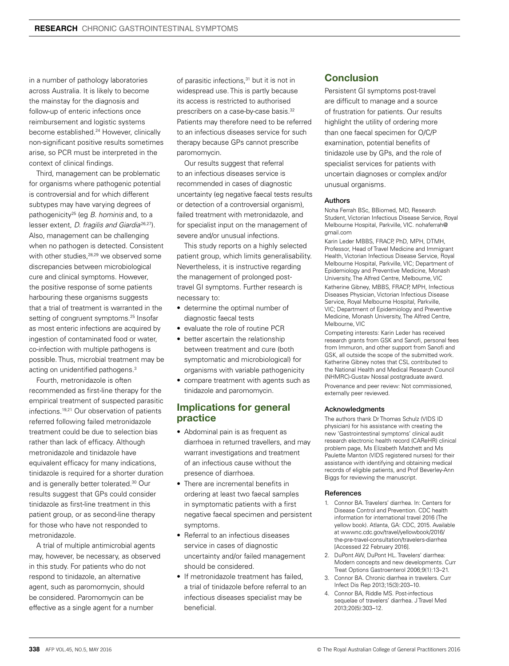in a number of pathology laboratories across Australia. It is likely to become the mainstay for the diagnosis and follow-up of enteric infections once reimbursement and logistic systems become established.<sup>24</sup> However, clinically non-significant positive results sometimes arise, so PCR must be interpreted in the context of clinical findings.

Third, management can be problematic for organisms where pathogenic potential is controversial and for which different subtypes may have varying degrees of pathogenicity25 (eg *B. hominis* and, to a lesser extent, *D. fragilis and Giardia*<sup>26,27</sup>). Also, management can be challenging when no pathogen is detected. Consistent with other studies,<sup>28,29</sup> we observed some discrepancies between microbiological cure and clinical symptoms. However, the positive response of some patients harbouring these organisms suggests that a trial of treatment is warranted in the setting of congruent symptoms.<sup>25</sup> Insofar as most enteric infections are acquired by ingestion of contaminated food or water, co-infection with multiple pathogens is possible. Thus, microbial treatment may be acting on unidentified pathogens.3

Fourth, metronidazole is often recommended as first-line therapy for the empirical treatment of suspected parasitic infections.<sup>19,21</sup> Our observation of patients referred following failed metronidazole treatment could be due to selection bias rather than lack of efficacy. Although metronidazole and tinidazole have equivalent efficacy for many indications, tinidazole is required for a shorter duration and is generally better tolerated.30 Our results suggest that GPs could consider tinidazole as first-line treatment in this patient group, or as second-line therapy for those who have not responded to metronidazole.

A trial of multiple antimicrobial agents may, however, be necessary, as observed in this study. For patients who do not respond to tinidazole, an alternative agent, such as paromomycin, should be considered. Paromomycin can be effective as a single agent for a number

of parasitic infections,<sup>31</sup> but it is not in widespread use. This is partly because its access is restricted to authorised prescribers on a case-by-case basis.<sup>32</sup> Patients may therefore need to be referred to an infectious diseases service for such therapy because GPs cannot prescribe paromomycin.

Our results suggest that referral to an infectious diseases service is recommended in cases of diagnostic uncertainty (eg negative faecal tests results or detection of a controversial organism), failed treatment with metronidazole, and for specialist input on the management of severe and/or unusual infections.

This study reports on a highly selected patient group, which limits generalisability. Nevertheless, it is instructive regarding the management of prolonged posttravel GI symptoms. Further research is necessary to:

- determine the optimal number of diagnostic faecal tests
- evaluate the role of routine PCR
- better ascertain the relationship between treatment and cure (both symptomatic and microbiological) for organisms with variable pathogenicity
- compare treatment with agents such as tinidazole and paromomycin.

# Implications for general practice

- Abdominal pain is as frequent as diarrhoea in returned travellers, and may warrant investigations and treatment of an infectious cause without the presence of diarrhoea.
- There are incremental benefits in ordering at least two faecal samples in symptomatic patients with a first negative faecal specimen and persistent symptoms.
- Referral to an infectious diseases service in cases of diagnostic uncertainty and/or failed management should be considered.
- If metronidazole treatment has failed, a trial of tinidazole before referral to an infectious diseases specialist may be beneficial.

# Conclusion

Persistent GI symptoms post-travel are difficult to manage and a source of frustration for patients. Our results highlight the utility of ordering more than one faecal specimen for O/C/P examination, potential benefits of tinidazole use by GPs, and the role of specialist services for patients with uncertain diagnoses or complex and/or unusual organisms.

#### Authors

Noha Ferrah BSc, BBiomed, MD, Research Student, Victorian Infectious Disease Service, Royal Melbourne Hospital, Parkville, VIC. nohaferrah@ gmail.com

Karin Leder MBBS, FRACP, PhD, MPH, DTMH, Professor, Head of Travel Medicine and Immigrant Health, Victorian Infectious Disease Service, Royal Melbourne Hospital, Parkville, VIC; Department of Epidemiology and Preventive Medicine, Monash University, The Alfred Centre, Melbourne, VIC

Katherine Gibney, MBBS, FRACP, MPH, Infectious Diseases Physician, Victorian Infectious Disease Service, Royal Melbourne Hospital, Parkville, VIC; Department of Epidemiology and Preventive Medicine, Monash University, The Alfred Centre, Melbourne, VIC

Competing interests: Karin Leder has received research grants from GSK and Sanofi, personal fees from Immuron, and other support from Sanofi and GSK, all outside the scope of the submitted work. Katherine Gibney notes that CSL contributed to the National Health and Medical Research Council (NHMRC)-Gustav Nossal postgraduate award.

Provenance and peer review: Not commissioned, externally peer reviewed.

#### Acknowledgments

The authors thank Dr Thomas Schulz (VIDS ID physician) for his assistance with creating the new 'Gastrointestinal symptoms' clinical audit research electronic health record (CAReHR) clinical problem page, Ms Elizabeth Matchett and Ms Paulette Manton (VIDS registered nurses) for their assistance with identifying and obtaining medical records of eligible patients, and Prof Beverley-Ann Biggs for reviewing the manuscript.

#### References

- 1. Connor BA. Travelers' diarrhea. In: Centers for Disease Control and Prevention. CDC health information for international travel 2016 (The yellow book). Atlanta, GA: CDC, 2015. Available at wwwnc.cdc.gov/travel/yellowbook/2016/ the-pre-travel-consultation/travelers-diarrhea [Accessed 22 February 2016].
- 2. DuPont AW, DuPont HL. Travelers' diarrhea: Modern concepts and new developments. Curr Treat Options Gastroenterol 2006;9(1):13–21.
- 3. Connor BA. Chronic diarrhea in travelers. Curr Infect Dis Rep 2013;15(3):203–10.
- 4. Connor BA, Riddle MS. Post-infectious sequelae of travelers' diarrhea. J Travel Med 2013;20(5):303–12.